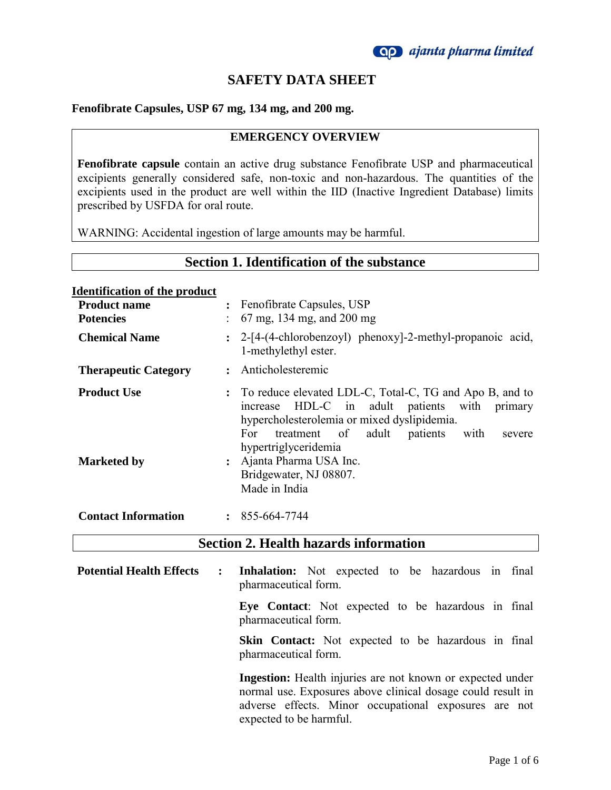

# **SAFETY DATA SHEET**

### **Fenofibrate Capsules, USP 67 mg, 134 mg, and 200 mg.**

### **EMERGENCY OVERVIEW**

**Fenofibrate capsule** contain an active drug substance Fenofibrate USP and pharmaceutical excipients generally considered safe, non-toxic and non-hazardous. The quantities of the excipients used in the product are well within the IID (Inactive Ingredient Database) limits prescribed by USFDA for oral route.

WARNING: Accidental ingestion of large amounts may be harmful.

## **Section 1. Identification of the substance**

#### **Identification of the product**

| <b>Product name</b><br><b>Potencies</b> |           | : Fenofibrate Capsules, USP<br>$67 \text{ mg}$ , 134 mg, and 200 mg                                                                                                                                                                                     |
|-----------------------------------------|-----------|---------------------------------------------------------------------------------------------------------------------------------------------------------------------------------------------------------------------------------------------------------|
| <b>Chemical Name</b>                    |           | : 2-[4-(4-chlorobenzoyl) phenoxy]-2-methyl-propanoic acid,<br>1-methylethyl ester.                                                                                                                                                                      |
| <b>Therapeutic Category</b>             | $\bullet$ | Anticholesteremic                                                                                                                                                                                                                                       |
| <b>Product Use</b>                      |           | To reduce elevated LDL-C, Total-C, TG and Apo B, and to<br>HDL-C in adult patients with<br>primary<br><i>n</i> crease<br>hypercholesterolemia or mixed dyslipidemia.<br>treatment of adult<br>patients<br>with<br>For<br>severe<br>hypertriglyceridemia |
| <b>Marketed by</b>                      |           | Ajanta Pharma USA Inc.<br>Bridgewater, NJ 08807.<br>Made in India                                                                                                                                                                                       |
| <b>Contact Information</b>              |           | $\cdot$ 855-664-7744                                                                                                                                                                                                                                    |

## **Section 2. Health hazards information**

**Potential Health Effects : Inhalation:** Not expected to be hazardous in final pharmaceutical form.

> **Eye Contact**: Not expected to be hazardous in final pharmaceutical form.

> **Skin Contact:** Not expected to be hazardous in final pharmaceutical form.

> **Ingestion:** Health injuries are not known or expected under normal use. Exposures above clinical dosage could result in adverse effects. Minor occupational exposures are not expected to be harmful.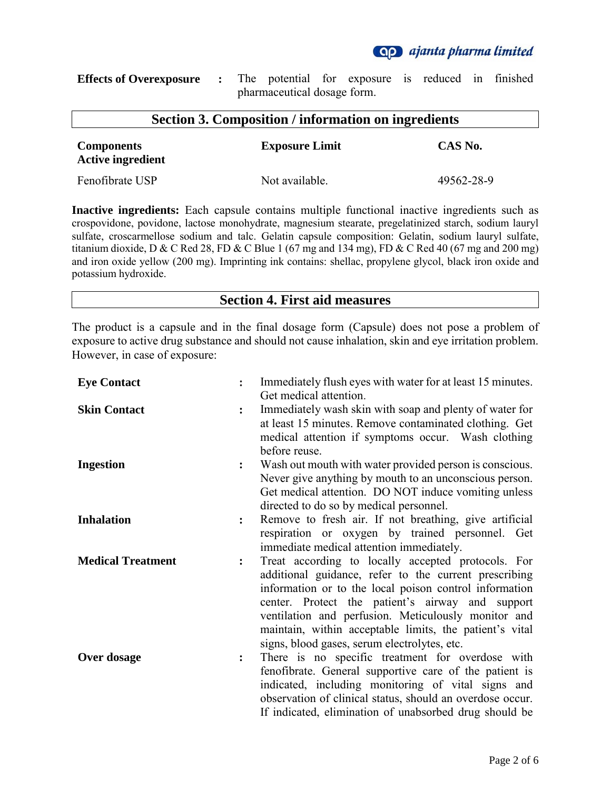**Qp** ajanta pharma limited

| <b>Effects of Overexposure :</b> The potential for exposure is reduced in finished |  |                             |  |  |  |
|------------------------------------------------------------------------------------|--|-----------------------------|--|--|--|
|                                                                                    |  | pharmaceutical dosage form. |  |  |  |

| <b>Section 3. Composition / information on ingredients</b> |                       |            |  |
|------------------------------------------------------------|-----------------------|------------|--|
| <b>Components</b><br><b>Active ingredient</b>              | <b>Exposure Limit</b> | CAS No.    |  |
| Fenofibrate USP                                            | Not available.        | 49562-28-9 |  |

**Inactive ingredients:** Each capsule contains multiple functional inactive ingredients such as crospovidone, povidone, lactose monohydrate, magnesium stearate, pregelatinized starch, sodium lauryl sulfate, croscarmellose sodium and talc. Gelatin capsule composition: Gelatin, sodium lauryl sulfate, titanium dioxide, D & C Red 28, FD & C Blue 1 (67 mg and 134 mg), FD & C Red 40 (67 mg and 200 mg) and iron oxide yellow (200 mg). Imprinting ink contains: shellac, propylene glycol, black iron oxide and potassium hydroxide.

### **Section 4. First aid measures**

The product is a capsule and in the final dosage form (Capsule) does not pose a problem of exposure to active drug substance and should not cause inhalation, skin and eye irritation problem. However, in case of exposure:

| <b>Eye Contact</b>       |                | Immediately flush eyes with water for at least 15 minutes.<br>Get medical attention.                                                                                                                                                                                                                                                                                                        |
|--------------------------|----------------|---------------------------------------------------------------------------------------------------------------------------------------------------------------------------------------------------------------------------------------------------------------------------------------------------------------------------------------------------------------------------------------------|
| <b>Skin Contact</b>      | $\ddot{\cdot}$ | Immediately wash skin with soap and plenty of water for<br>at least 15 minutes. Remove contaminated clothing. Get<br>medical attention if symptoms occur. Wash clothing<br>before reuse.                                                                                                                                                                                                    |
| <b>Ingestion</b>         | $\ddot{\cdot}$ | Wash out mouth with water provided person is conscious.<br>Never give anything by mouth to an unconscious person.<br>Get medical attention. DO NOT induce vomiting unless<br>directed to do so by medical personnel.                                                                                                                                                                        |
| <b>Inhalation</b>        | $\ddot{\cdot}$ | Remove to fresh air. If not breathing, give artificial<br>respiration or oxygen by trained personnel. Get<br>immediate medical attention immediately.                                                                                                                                                                                                                                       |
| <b>Medical Treatment</b> | $\ddot{\cdot}$ | Treat according to locally accepted protocols. For<br>additional guidance, refer to the current prescribing<br>information or to the local poison control information<br>center. Protect the patient's airway and support<br>ventilation and perfusion. Meticulously monitor and<br>maintain, within acceptable limits, the patient's vital<br>signs, blood gases, serum electrolytes, etc. |
| Over dosage              | $\ddot{\cdot}$ | There is no specific treatment for overdose with<br>fenofibrate. General supportive care of the patient is<br>indicated, including monitoring of vital signs and<br>observation of clinical status, should an overdose occur.<br>If indicated, elimination of unabsorbed drug should be                                                                                                     |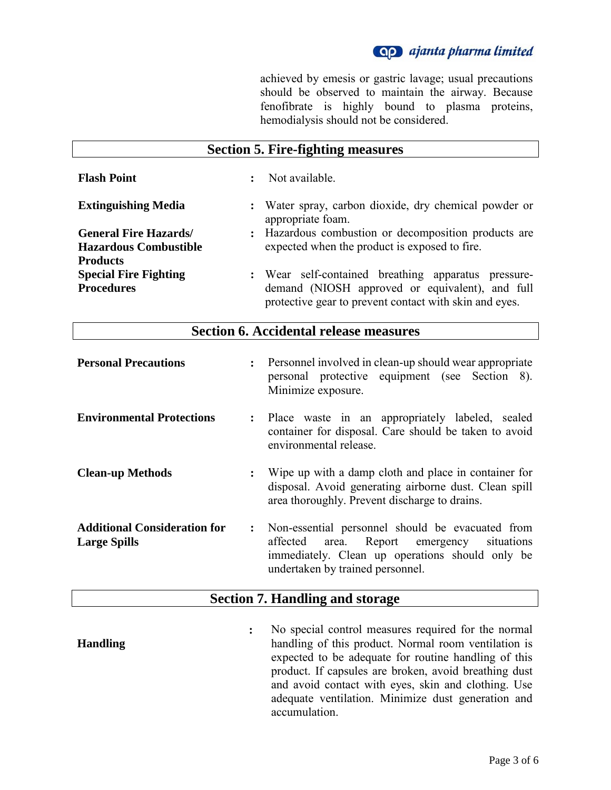achieved by emesis or gastric lavage; usual precautions should be observed to maintain the airway. Because fenofibrate is highly bound to plasma proteins, hemodialysis should not be considered.

|                              | <b>Section 5. Fire-fighting measures</b>                                                                  |
|------------------------------|-----------------------------------------------------------------------------------------------------------|
| <b>Flash Point</b>           | Not available.                                                                                            |
| <b>Extinguishing Media</b>   | : Water spray, carbon dioxide, dry chemical powder or<br>appropriate foam.                                |
| <b>General Fire Hazards/</b> | : Hazardous combustion or decomposition products are                                                      |
| <b>Hazardous Combustible</b> | expected when the product is exposed to fire.                                                             |
| <b>Products</b>              |                                                                                                           |
| <b>Special Fire Fighting</b> | : Wear self-contained breathing apparatus pressure-                                                       |
| <b>Procedures</b>            | demand (NIOSH approved or equivalent), and full<br>protective gear to prevent contact with skin and eyes. |

# **Section 6. Accidental release measures**

| <b>Personal Precautions</b>                                |                | : Personnel involved in clean-up should wear appropriate<br>personal protective equipment (see Section 8).<br>Minimize exposure.                                                            |
|------------------------------------------------------------|----------------|---------------------------------------------------------------------------------------------------------------------------------------------------------------------------------------------|
| <b>Environmental Protections</b>                           |                | : Place waste in an appropriately labeled, sealed<br>container for disposal. Care should be taken to avoid<br>environmental release.                                                        |
| <b>Clean-up Methods</b>                                    | $\ddot{\cdot}$ | Wipe up with a damp cloth and place in container for<br>disposal. Avoid generating airborne dust. Clean spill<br>area thoroughly. Prevent discharge to drains.                              |
| <b>Additional Consideration for</b><br><b>Large Spills</b> | $\ddot{\cdot}$ | Non-essential personnel should be evacuated from<br>area. Report emergency<br>affected<br>situations<br>immediately. Clean up operations should only be<br>undertaken by trained personnel. |

## **Section 7. Handling and storage**

**Handling :** No special control measures required for the normal handling of this product. Normal room ventilation is expected to be adequate for routine handling of this product. If capsules are broken, avoid breathing dust and avoid contact with eyes, skin and clothing. Use adequate ventilation. Minimize dust generation and accumulation.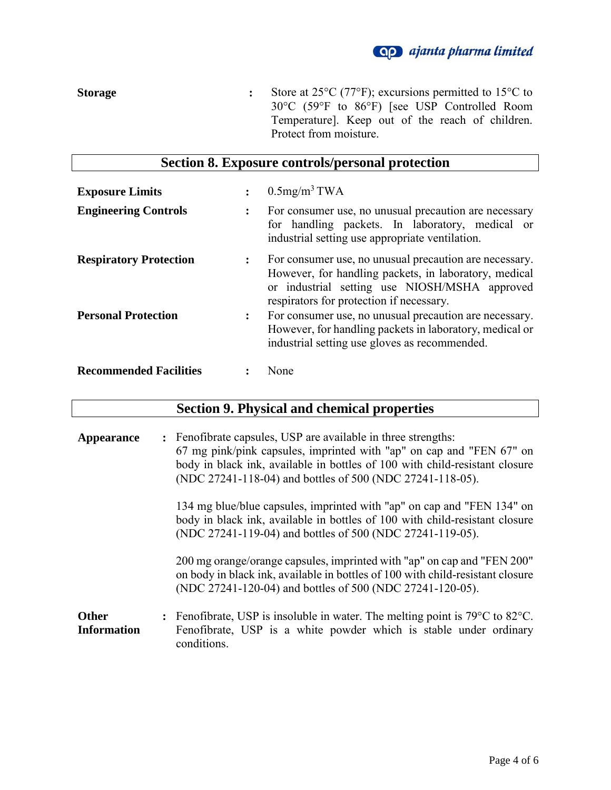# **Qp** ajanta pharma limited

**Storage :** Store at 25°C (77°F); excursions permitted to 15°C to 30°C (59°F to 86°F) [see USP Controlled Room Temperature]. Keep out of the reach of children. Protect from moisture.

# **Section 8. Exposure controls/personal protection**

| <b>Exposure Limits</b>        | $\bullet$      | $0.5$ mg/m <sup>3</sup> TWA                                                                                                                                                                                  |
|-------------------------------|----------------|--------------------------------------------------------------------------------------------------------------------------------------------------------------------------------------------------------------|
| <b>Engineering Controls</b>   | $\ddot{\cdot}$ | For consumer use, no unusual precaution are necessary<br>for handling packets. In laboratory, medical or<br>industrial setting use appropriate ventilation.                                                  |
| <b>Respiratory Protection</b> | $\ddot{\cdot}$ | For consumer use, no unusual precaution are necessary.<br>However, for handling packets, in laboratory, medical<br>or industrial setting use NIOSH/MSHA approved<br>respirators for protection if necessary. |
| <b>Personal Protection</b>    | $\ddot{\cdot}$ | For consumer use, no unusual precaution are necessary.<br>However, for handling packets in laboratory, medical or<br>industrial setting use gloves as recommended.                                           |
| <b>Recommended Facilities</b> |                | None                                                                                                                                                                                                         |

# **Section 9. Physical and chemical properties**

| <b>Appearance</b>                  | : Fenofibrate capsules, USP are available in three strengths:<br>67 mg pink/pink capsules, imprinted with "ap" on cap and "FEN 67" on<br>body in black ink, available in bottles of 100 with child-resistant closure<br>(NDC 27241-118-04) and bottles of 500 (NDC 27241-118-05). |
|------------------------------------|-----------------------------------------------------------------------------------------------------------------------------------------------------------------------------------------------------------------------------------------------------------------------------------|
|                                    | 134 mg blue/blue capsules, imprinted with "ap" on cap and "FEN 134" on<br>body in black ink, available in bottles of 100 with child-resistant closure<br>(NDC 27241-119-04) and bottles of 500 (NDC 27241-119-05).                                                                |
|                                    | 200 mg orange/orange capsules, imprinted with "ap" on cap and "FEN 200"<br>on body in black ink, available in bottles of 100 with child-resistant closure<br>(NDC 27241-120-04) and bottles of 500 (NDC 27241-120-05).                                                            |
| <b>Other</b><br><b>Information</b> | : Fenofibrate, USP is insoluble in water. The melting point is $79^{\circ}$ C to $82^{\circ}$ C.<br>Fenofibrate, USP is a white powder which is stable under ordinary<br>conditions.                                                                                              |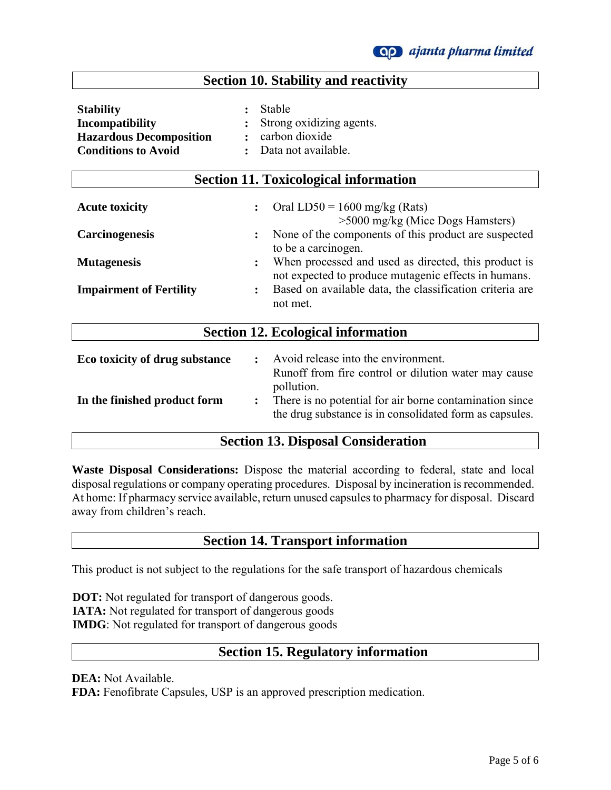## **Section 10. Stability and reactivity**

**Section 11. Toxicological information**

| <b>Stability</b>               | : Stable                   |
|--------------------------------|----------------------------|
| Incompatibility                | : Strong oxidizing agents. |
| <b>Hazardous Decomposition</b> | : carbon dioxide           |
| <b>Conditions to Avoid</b>     | : Data not available.      |

| Dection II. Toxicological information     |                |                                                                                                                                  |  |  |
|-------------------------------------------|----------------|----------------------------------------------------------------------------------------------------------------------------------|--|--|
| <b>Acute toxicity</b>                     | $\ddot{\cdot}$ | Oral LD50 = $1600$ mg/kg (Rats)<br>$>5000$ mg/kg (Mice Dogs Hamsters)                                                            |  |  |
| <b>Carcinogenesis</b>                     | $\ddot{\cdot}$ | None of the components of this product are suspected<br>to be a carcinogen.                                                      |  |  |
| <b>Mutagenesis</b>                        | $\ddot{\cdot}$ | When processed and used as directed, this product is<br>not expected to produce mutagenic effects in humans.                     |  |  |
| <b>Impairment of Fertility</b>            | $\ddot{\cdot}$ | Based on available data, the classification criteria are<br>not met.                                                             |  |  |
| <b>Section 12. Ecological information</b> |                |                                                                                                                                  |  |  |
| Eco toxicity of drug substance            | $\ddot{\cdot}$ | Avoid release into the environment.<br>Runoff from fire control or dilution water may cause                                      |  |  |
| In the finished product form              | $\ddot{\cdot}$ | pollution.<br>There is no potential for air borne contamination since<br>the drug substance is in consolidated form as capsules. |  |  |

## **Section 13. Disposal Consideration**

**Waste Disposal Considerations:** Dispose the material according to federal, state and local disposal regulations or company operating procedures. Disposal by incineration is recommended. At home: If pharmacy service available, return unused capsules to pharmacy for disposal. Discard away from children's reach.

## **Section 14. Transport information**

This product is not subject to the regulations for the safe transport of hazardous chemicals

**DOT:** Not regulated for transport of dangerous goods.  **IATA:** Not regulated for transport of dangerous goods  **IMDG**: Not regulated for transport of dangerous goods

## **Section 15. Regulatory information**

**DEA:** Not Available.

**FDA:** Fenofibrate Capsules, USP is an approved prescription medication.